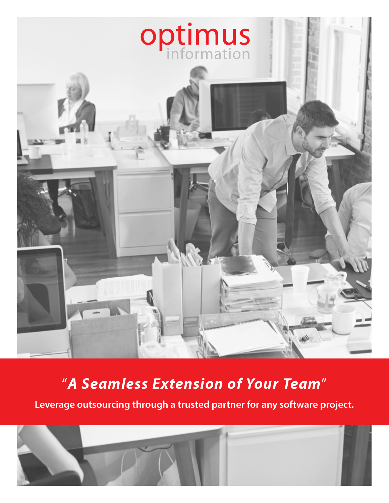

## "*A Seamless Extension of Your Team*"

**Leverage outsourcing through a trusted partner for any software project.**

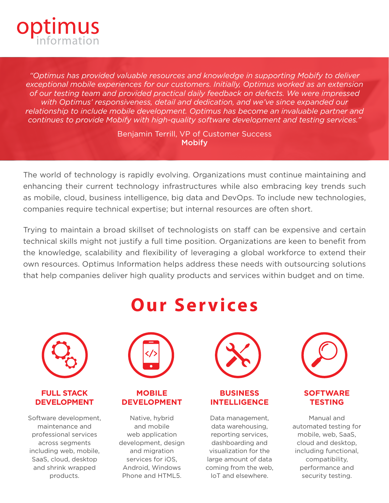

*"Optimus has provided valuable resources and knowledge in supporting Mobify to deliver exceptional mobile experiences for our customers. Initially, Optimus worked as an extension of our testing team and provided practical daily feedback on defects. We were impressed with Optimus' responsiveness, detail and dedication, and we've since expanded our relationship to include mobile development. Optimus has become an invaluable partner and continues to provide Mobify with high-quality software development and testing services."*

> Benjamin Terrill, VP of Customer Success **Mobify**

The world of technology is rapidly evolving. Organizations must continue maintaining and enhancing their current technology infrastructures while also embracing key trends such as mobile, cloud, business intelligence, big data and DevOps. To include new technologies, companies require technical expertise; but internal resources are often short.

Trying to maintain a broad skillset of technologists on staff can be expensive and certain technical skills might not justify a full time position. Organizations are keen to benefit from the knowledge, scalability and flexibility of leveraging a global workforce to extend their own resources. Optimus Information helps address these needs with outsourcing solutions that help companies deliver high quality products and services within budget and on time.



#### **FULL STACK DEVELOPMENT**

Software development, maintenance and professional services across segments including web, mobile, SaaS, cloud, desktop and shrink wrapped products.

## **Our Services**



## **MOBILE DEVELOPMENT**

Native, hybrid and mobile web application development, design and migration services for iOS, Android, Windows Phone and HTML5.



#### **BUSINESS INTELLIGENCE**

Data management, data warehousing, reporting services, dashboarding and visualization for the large amount of data coming from the web, IoT and elsewhere.



## **SOFTWARE TESTING**

Manual and automated testing for mobile, web, SaaS, cloud and desktop, including functional, compatibility, performance and security testing.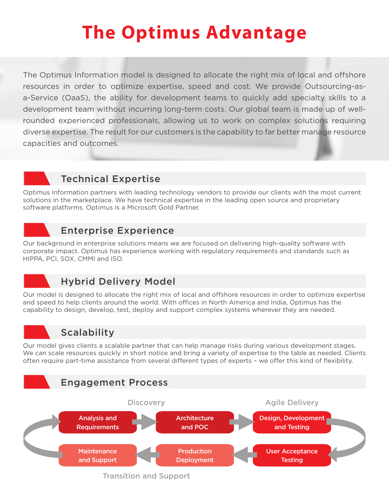# **The Optimus Advantage**

The Optimus Information model is designed to allocate the right mix of local and offshore resources in order to optimize expertise, speed and cost. We provide Outsourcing-asa-Service (OaaS), the ability for development teams to quickly add specialty skills to a development team without incurring long-term costs. Our global team is made up of wellrounded experienced professionals, allowing us to work on complex solutions requiring diverse expertise. The result for our customers is the capability to far better manage resource capacities and outcomes.

## Technical Expertise

Optimus Information partners with leading technology vendors to provide our clients with the most current solutions in the marketplace. We have technical expertise in the leading open source and proprietary software platforms. Optimus is a Microsoft Gold Partner.

## Enterprise Experience

Our background in enterprise solutions means we are focused on delivering high-quality software with corporate impact. Optimus has experience working with regulatory requirements and standards such as HIPPA, PCI, SOX, CMMI and ISO.

## Hybrid Delivery Model

Our model is designed to allocate the right mix of local and offshore resources in order to optimize expertise and speed to help clients around the world. With offices in North America and India, Optimus has the capability to design, develop, test, deploy and support complex systems wherever they are needed.



## **Scalability**

Our model gives clients a scalable partner that can help manage risks during various development stages. We can scale resources quickly in short notice and bring a variety of expertise to the table as needed. Clients often require part-time assistance from several different types of experts – we offer this kind of flexibility.



Transition and Support